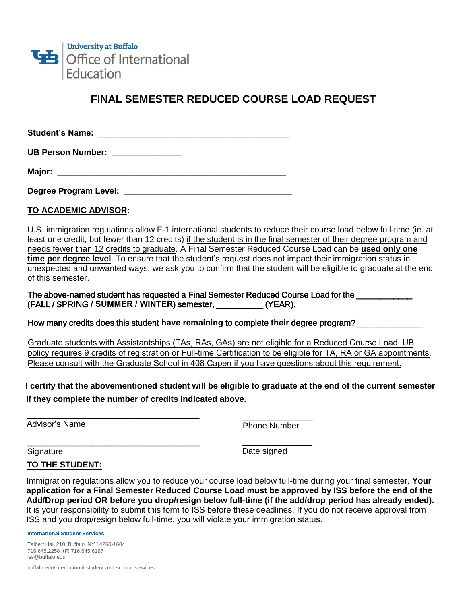

# **FINAL SEMESTER REDUCED COURSE LOAD REQUEST**

**Student's Name: \_\_\_\_\_\_\_\_\_\_\_\_\_\_\_\_\_\_\_\_\_\_\_\_\_\_\_\_\_\_\_\_\_\_\_\_\_\_\_\_\_**

UB Person Number: **William** 

**Major: \_\_\_\_\_\_\_\_\_\_\_\_\_\_\_\_\_\_\_\_\_\_\_\_\_\_\_\_\_\_\_\_\_\_\_\_\_\_\_\_\_\_\_\_\_\_\_\_\_**

**Degree Program Level: \_\_\_\_\_\_\_\_\_\_\_\_\_\_\_\_\_\_\_\_\_\_\_\_\_\_\_\_\_\_\_\_\_\_\_\_** 

### **TO ACADEMIC ADVISOR:**

U.S. immigration regulations allow F-1 international students to reduce their course load below full-time (ie. at least one credit, but fewer than 12 credits) if the student is in the final semester of their degree program and needs fewer than 12 credits to graduate. A Final Semester Reduced Course Load can be **used only one time per degree level**. To ensure that the student's request does not impact their immigration status in unexpected and unwanted ways, we ask you to confirm that the student will be eligible to graduate at the end of this semester.

The above-named student has requested a Final Semester Reduced Course Load for the (FALL / SPRING **/ SUMMER / WINTER**) semester, \_\_\_\_\_\_\_\_\_\_ (YEAR).

How many credits does this student **have remaining** to complete **their** degree program? \_\_\_\_\_\_\_\_\_\_\_\_\_\_

Graduate students with Assistantships (TAs, RAs, GAs) are not eligible for a Reduced Course Load. UB policy requires 9 credits of registration or Full-time Certification to be eligible for TA, RA or GA appointments. Please consult with the Graduate School in 408 Capen if you have questions about this requirement.

**I certify that the abovementioned student will be eligible to graduate at the end of the current semester if they complete the number of credits indicated above.**

\_\_\_\_\_\_\_\_\_\_\_\_\_\_\_\_\_\_\_\_\_\_\_\_\_\_\_\_\_\_\_\_\_\_\_\_\_ \_\_\_\_\_\_\_\_\_\_\_\_\_\_\_

Advisor's Name **Phone Number** 

\_\_\_\_\_\_\_\_\_\_\_\_\_\_\_

\_\_\_\_\_\_\_\_\_\_\_\_\_\_\_\_\_\_\_\_\_\_\_\_\_\_\_\_\_\_\_\_\_\_\_\_\_ **Signature** 

Date signed

## **TO THE STUDENT:**

Immigration regulations allow you to reduce your course load below full-time during your final semester. **Your application for a Final Semester Reduced Course Load must be approved by ISS before the end of the Add/Drop period OR before you drop/resign below full-time (if the add/drop period has already ended).** It is your responsibility to submit this form to ISS before these deadlines. If you do not receive approval from ISS and you drop/resign below full-time, you will violate your immigration status.

**International Student Services** 

Talbert Hall 210, Buffalo, NY 14260-1604 716.645.2258 (F) 716.645.6197 iss@buffalo.edu

buffalo.edu/international-student-and-scholar-services